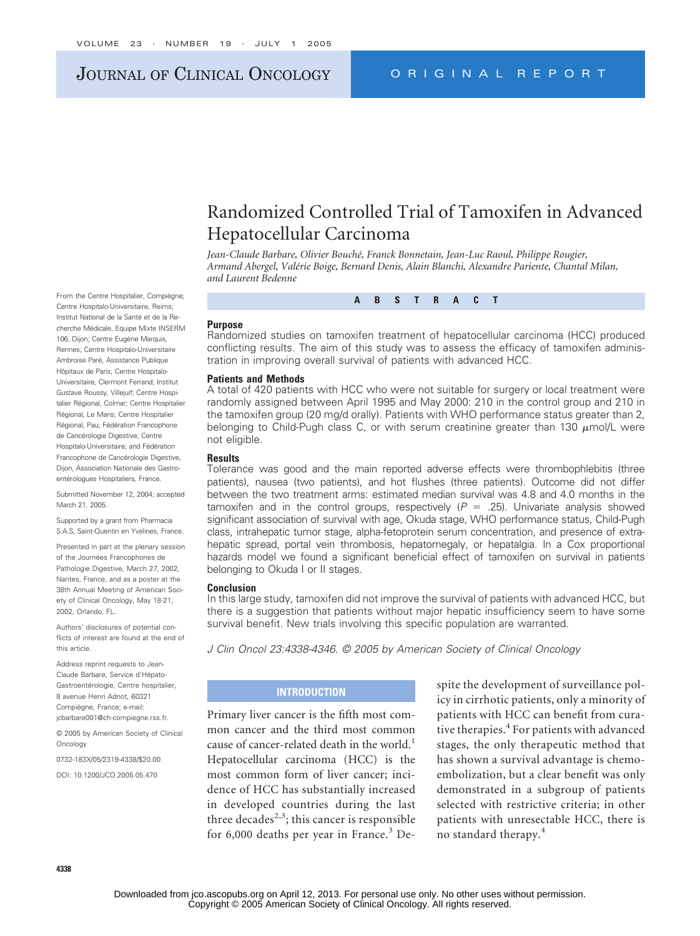# JOURNAL OF CLINICAL ONCOLOGY ORIGINAL REPORT

# Randomized Controlled Trial of Tamoxifen in Advanced Hepatocellular Carcinoma

*Jean-Claude Barbare, Olivier Bouché, Franck Bonnetain, Jean-Luc Raoul, Philippe Rougier, Armand Abergel, Valérie Boige, Bernard Denis, Alain Blanchi, Alexandre Pariente, Chantal Milan, and Laurent Bedenne*

**ABSTRACT**

#### **Purpose**

Randomized studies on tamoxifen treatment of hepatocellular carcinoma (HCC) produced conflicting results. The aim of this study was to assess the efficacy of tamoxifen administration in improving overall survival of patients with advanced HCC.

#### **Patients and Methods**

A total of 420 patients with HCC who were not suitable for surgery or local treatment were randomly assigned between April 1995 and May 2000: 210 in the control group and 210 in the tamoxifen group (20 mg/d orally). Patients with WHO performance status greater than 2, belonging to Child-Pugh class C, or with serum creatinine greater than 130  $\mu$ mol/L were not eligible.

#### **Results**

Tolerance was good and the main reported adverse effects were thrombophlebitis (three patients), nausea (two patients), and hot flushes (three patients). Outcome did not differ between the two treatment arms: estimated median survival was 4.8 and 4.0 months in the tamoxifen and in the control groups, respectively  $(P = .25)$ . Univariate analysis showed significant association of survival with age, Okuda stage, WHO performance status, Child-Pugh class, intrahepatic tumor stage, alpha-fetoprotein serum concentration, and presence of extrahepatic spread, portal vein thrombosis, hepatomegaly, or hepatalgia. In a Cox proportional hazards model we found a significant beneficial effect of tamoxifen on survival in patients belonging to Okuda I or II stages.

#### **Conclusion**

In this large study, tamoxifen did not improve the survival of patients with advanced HCC, but there is a suggestion that patients without major hepatic insufficiency seem to have some survival benefit. New trials involving this specific population are warranted.

*J Clin Oncol 23:4338-4346. © 2005 by American Society of Clinical Oncology*

# **INTRODUCTION**

Primary liver cancer is the fifth most common cancer and the third most common cause of cancer-related death in the world.<sup>1</sup> Hepatocellular carcinoma (HCC) is the most common form of liver cancer; incidence of HCC has substantially increased in developed countries during the last three decades<sup>2,3</sup>; this cancer is responsible for  $6,000$  deaths per year in France.<sup>3</sup> Despite the development of surveillance policy in cirrhotic patients, only a minority of patients with HCC can benefit from curative therapies.<sup>4</sup> For patients with advanced stages, the only therapeutic method that has shown a survival advantage is chemoembolization, but a clear benefit was only demonstrated in a subgroup of patients selected with restrictive criteria; in other patients with unresectable HCC, there is no standard therapy.<sup>4</sup>

From the Centre Hospitalier, Compiègne; Centre Hospitalo-Universitaire, Reims; Institut National de la Santé et de la Recherche Médicale, Equipe Mixte INSERM 106, Dijon; Centre Eugène Marquis, Rennes; Centre Hospitalo-Universitaire Ambroise Paré, Assistance Publique Hôpitaux de Paris; Centre Hospitalo-Universitaire, Clermont Ferrand; Institut Gustave Roussy, Villejuif; Centre Hospitalier Régional, Colmar; Centre Hospitalier Régional, Le Mans; Centre Hospitalier Régional, Pau; Fédération Francophone de Cancérologie Digestive; Centre Hospitalo-Universitaire; and Fédération Francophone de Cancérologie Digestive, Dijon, Association Nationale des Gastroentérologues Hospitaliers, France.

Submitted November 12, 2004; accepted March 21, 2005.

Supported by a grant from Pharmacia S.A.S, Saint-Quentin en Yvelines, France.

Presented in part at the plenary session of the Journées Francophones de Pathologie Digestive, March 27, 2002, Nantes, France, and as a poster at the 38th Annual Meeting of American Society of Clinical Oncology, May 18-21, 2002, Orlando, FL.

Authors' disclosures of potential conflicts of interest are found at the end of this article.

Address reprint requests to Jean-Claude Barbare, Service d'Hépato-Gastroentérologie, Centre hospitalier, 8 avenue Henri Adnot, 60321 Compiègne, France; e-mail: jcbarbare001@ch-compiegne.rss.fr.

© 2005 by American Society of Clinical Oncology

0732-183X/05/2319-4338/\$20.00

DOI: 10.1200/JCO.2005.05.470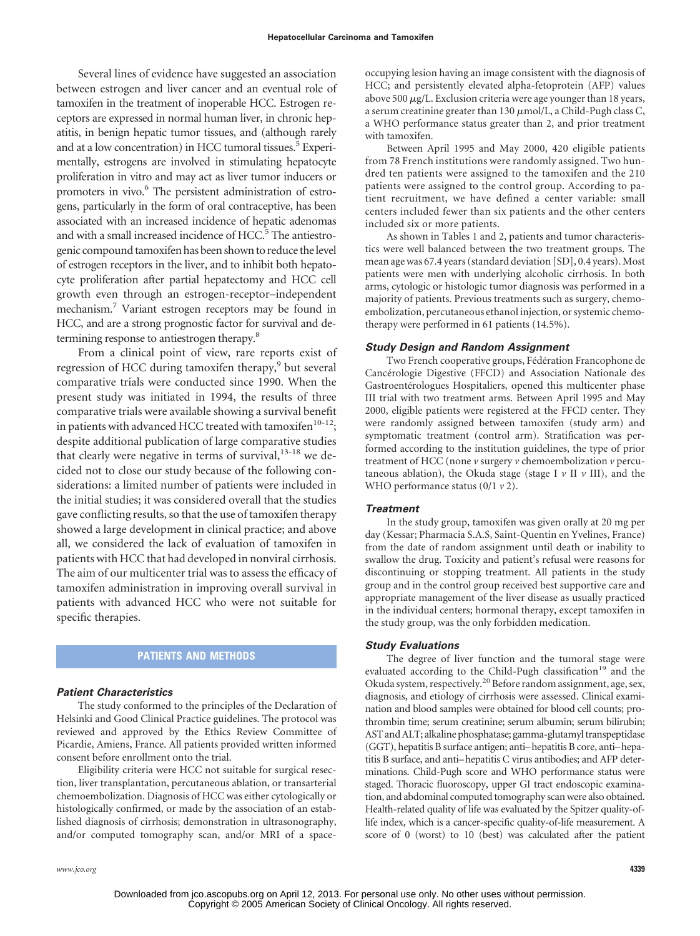Several lines of evidence have suggested an association between estrogen and liver cancer and an eventual role of tamoxifen in the treatment of inoperable HCC. Estrogen receptors are expressed in normal human liver, in chronic hepatitis, in benign hepatic tumor tissues, and (although rarely and at a low concentration) in HCC tumoral tissues.<sup>5</sup> Experimentally, estrogens are involved in stimulating hepatocyte proliferation in vitro and may act as liver tumor inducers or promoters in vivo.<sup>6</sup> The persistent administration of estrogens, particularly in the form of oral contraceptive, has been associated with an increased incidence of hepatic adenomas and with a small increased incidence of HCC.<sup>5</sup> The antiestrogenic compound tamoxifen has been shown to reduce the level of estrogen receptors in the liver, and to inhibit both hepatocyte proliferation after partial hepatectomy and HCC cell growth even through an estrogen-receptor–independent mechanism.7 Variant estrogen receptors may be found in HCC, and are a strong prognostic factor for survival and determining response to antiestrogen therapy.8

From a clinical point of view, rare reports exist of regression of HCC during tamoxifen therapy,<sup>9</sup> but several comparative trials were conducted since 1990. When the present study was initiated in 1994, the results of three comparative trials were available showing a survival benefit in patients with advanced HCC treated with tamoxifen<sup>10-12</sup>; despite additional publication of large comparative studies that clearly were negative in terms of survival,  $13-18$  we decided not to close our study because of the following considerations: a limited number of patients were included in the initial studies; it was considered overall that the studies gave conflicting results, so that the use of tamoxifen therapy showed a large development in clinical practice; and above all, we considered the lack of evaluation of tamoxifen in patients with HCC that had developed in nonviral cirrhosis. The aim of our multicenter trial was to assess the efficacy of tamoxifen administration in improving overall survival in patients with advanced HCC who were not suitable for specific therapies.

# **PATIENTS AND METHODS**

# *Patient Characteristics*

The study conformed to the principles of the Declaration of Helsinki and Good Clinical Practice guidelines. The protocol was reviewed and approved by the Ethics Review Committee of Picardie, Amiens, France. All patients provided written informed consent before enrollment onto the trial.

Eligibility criteria were HCC not suitable for surgical resection, liver transplantation, percutaneous ablation, or transarterial chemoembolization. Diagnosis of HCC was either cytologically or histologically confirmed, or made by the association of an established diagnosis of cirrhosis; demonstration in ultrasonography, and/or computed tomography scan, and/or MRI of a space-

occupying lesion having an image consistent with the diagnosis of HCC; and persistently elevated alpha-fetoprotein (AFP) values above 500  $\mu$ g/L. Exclusion criteria were age younger than 18 years, a serum creatinine greater than 130  $\mu$ mol/L, a Child-Pugh class C, a WHO performance status greater than 2, and prior treatment with tamoxifen.

Between April 1995 and May 2000, 420 eligible patients from 78 French institutions were randomly assigned. Two hundred ten patients were assigned to the tamoxifen and the 210 patients were assigned to the control group. According to patient recruitment, we have defined a center variable: small centers included fewer than six patients and the other centers included six or more patients.

As shown in Tables 1 and 2, patients and tumor characteristics were well balanced between the two treatment groups. The mean age was 67.4 years (standard deviation [SD], 0.4 years). Most patients were men with underlying alcoholic cirrhosis. In both arms, cytologic or histologic tumor diagnosis was performed in a majority of patients. Previous treatments such as surgery, chemoembolization, percutaneous ethanol injection, or systemic chemotherapy were performed in 61 patients (14.5%).

# *Study Design and Random Assignment*

Two French cooperative groups, Fédération Francophone de Cancérologie Digestive (FFCD) and Association Nationale des Gastroentérologues Hospitaliers, opened this multicenter phase III trial with two treatment arms. Between April 1995 and May 2000, eligible patients were registered at the FFCD center. They were randomly assigned between tamoxifen (study arm) and symptomatic treatment (control arm). Stratification was performed according to the institution guidelines, the type of prior treatment of HCC (none *v* surgery *v* chemoembolization *v* percutaneous ablation), the Okuda stage (stage I *v* II *v* III), and the WHO performance status (0/1 *v* 2).

# *Treatment*

In the study group, tamoxifen was given orally at 20 mg per day (Kessar; Pharmacia S.A.S, Saint-Quentin en Yvelines, France) from the date of random assignment until death or inability to swallow the drug. Toxicity and patient's refusal were reasons for discontinuing or stopping treatment. All patients in the study group and in the control group received best supportive care and appropriate management of the liver disease as usually practiced in the individual centers; hormonal therapy, except tamoxifen in the study group, was the only forbidden medication.

# *Study Evaluations*

The degree of liver function and the tumoral stage were evaluated according to the Child-Pugh classification<sup>19</sup> and the Okuda system, respectively.<sup>20</sup> Before random assignment, age, sex, diagnosis, and etiology of cirrhosis were assessed. Clinical examination and blood samples were obtained for blood cell counts; prothrombin time; serum creatinine; serum albumin; serum bilirubin; AST and ALT; alkaline phosphatase; gamma-glutamyl transpeptidase (GGT), hepatitis B surface antigen; anti–hepatitis B core, anti–hepatitis B surface, and anti–hepatitis C virus antibodies; and AFP determinations. Child-Pugh score and WHO performance status were staged. Thoracic fluoroscopy, upper GI tract endoscopic examination, and abdominal computed tomography scan were also obtained. Health-related quality of life was evaluated by the Spitzer quality-oflife index, which is a cancer-specific quality-of-life measurement. A score of 0 (worst) to 10 (best) was calculated after the patient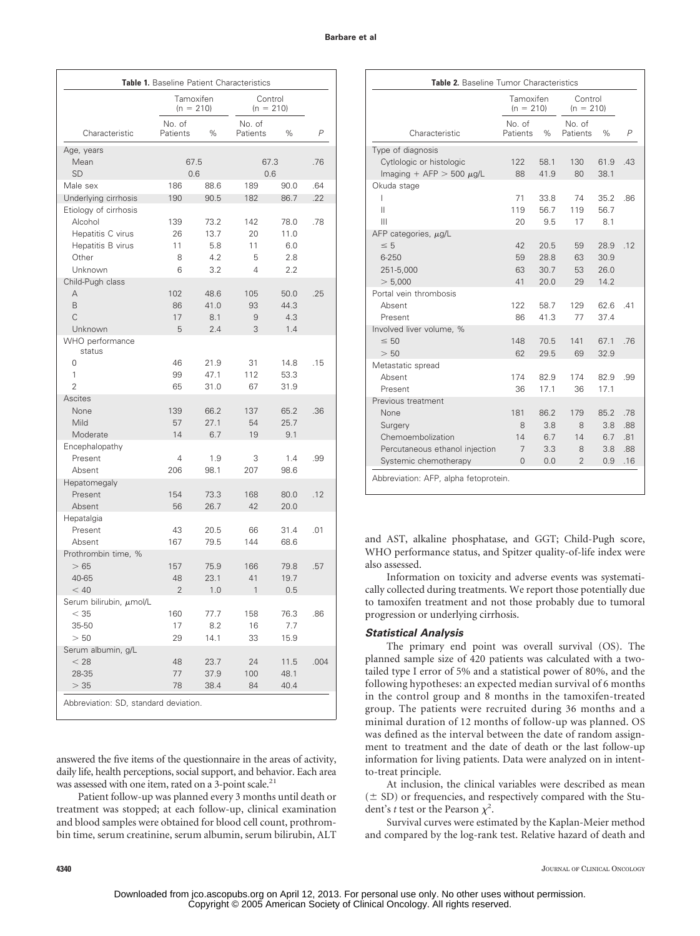| Table 1. Baseline Patient Characteristics     |                          |             |                    |                        |                |  |
|-----------------------------------------------|--------------------------|-------------|--------------------|------------------------|----------------|--|
|                                               | Tamoxifen<br>$(n = 210)$ |             |                    | Control<br>$(n = 210)$ |                |  |
| Characteristic                                | No. of<br>Patients       | $\%$        | No. of<br>Patients | $\%$                   | $\overline{P}$ |  |
| Age, years                                    |                          |             |                    |                        |                |  |
| Mean<br><b>SD</b>                             | 67.5<br>0.6              |             | 67.3<br>0.6        |                        | .76            |  |
| Male sex                                      | 186                      | 88.6        | 189                | 90.0                   | .64            |  |
| Underlying cirrhosis<br>Etiology of cirrhosis | 190                      | 90.5        | 182                | 86.7                   | .22            |  |
| Alcohol                                       | 139                      | 73.2        | 142                | 78.0                   | .78            |  |
| Hepatitis C virus                             | 26                       | 13.7        | 20                 | 11.0                   |                |  |
| Hepatitis B virus                             | 11                       | 5.8         | 11                 | 6.0                    |                |  |
| Other                                         | 8                        | 4.2         | 5                  | 2.8                    |                |  |
| Unknown                                       | 6                        | 3.2         | 4                  | 2.2                    |                |  |
| Child-Pugh class                              |                          |             |                    |                        |                |  |
| A                                             | 102                      | 48.6        | 105                | 50.0                   | .25            |  |
| B                                             | 86                       | 41.0        | 93                 | 44.3                   |                |  |
| C                                             | 17                       | 8.1         | 9                  | 4.3                    |                |  |
| Unknown                                       | 5                        | 2.4         | 3                  | 1.4                    |                |  |
| WHO performance<br>status                     |                          |             |                    |                        |                |  |
| $\Omega$                                      | 46                       | 21.9        | 31                 | 14.8                   | .15            |  |
| 1                                             | 99                       | 47.1        | 112                | 53.3                   |                |  |
| $\overline{2}$                                | 65                       | 31.0        | 67                 | 31.9                   |                |  |
| <b>Ascites</b>                                |                          |             |                    |                        |                |  |
| None                                          | 139                      | 66.2        | 137                | 65.2                   | .36            |  |
| Mild<br>Moderate                              | 57<br>14                 | 27.1<br>6.7 | 54<br>19           | 25.7<br>9.1            |                |  |
| Encephalopathy                                |                          |             |                    |                        |                |  |
| Present                                       | 4                        | 1.9         | 3                  | 1.4                    | .99            |  |
| Absent                                        | 206                      | 98.1        | 207                | 98.6                   |                |  |
| Hepatomegaly                                  |                          |             |                    |                        |                |  |
| Present                                       | 154                      | 73.3        | 168                | 80.0                   | .12            |  |
| Absent                                        | 56                       | 26.7        | 42                 | 20.0                   |                |  |
| Hepatalgia                                    |                          |             |                    |                        |                |  |
| Present                                       | 43                       | 20.5        | 66                 | 31.4                   | .01            |  |
| Absent                                        | 167                      | 79.5        | 144                | 68.6                   |                |  |
| Prothrombin time, %                           |                          |             |                    |                        |                |  |
| >65                                           | 157                      | 75.9        | 166                | 79.8                   | .57            |  |
| 40-65                                         | 48                       | 23.1        | 41                 | 19.7                   |                |  |
| < 40                                          | 2                        | 1.0         | 1                  | 0.5                    |                |  |
| Serum bilirubin, µmol/L                       |                          |             |                    |                        |                |  |
| $<$ 35                                        | 160                      | 77.7        | 158                | 76.3                   | .86            |  |
| 35-50                                         | 17                       | 8.2         | 16                 | 7.7                    |                |  |
| > 50<br>Serum albumin, g/L                    | 29                       | 14.1        | 33                 | 15.9                   |                |  |
| < 28                                          | 48                       | 23.7        | 24                 | 11.5                   | .004           |  |
| 28-35                                         | 77                       | 37.9        | 100                | 48.1                   |                |  |
| >35                                           | 78                       | 38.4        | 84                 | 40.4                   |                |  |
| Abbreviation: SD, standard deviation.         |                          |             |                    |                        |                |  |

answered the five items of the questionnaire in the areas of activity, daily life, health perceptions, social support, and behavior. Each area was assessed with one item, rated on a 3-point scale.<sup>21</sup>

Patient follow-up was planned every 3 months until death or treatment was stopped; at each follow-up, clinical examination and blood samples were obtained for blood cell count, prothrombin time, serum creatinine, serum albumin, serum bilirubin, ALT

|                                 | Tamoxifen<br>$(n = 210)$ |      | Control<br>$(n = 210)$ |      |                |  |
|---------------------------------|--------------------------|------|------------------------|------|----------------|--|
| Characteristic                  | No. of<br>Patients       | $\%$ | No. of<br>Patients     | $\%$ | $\overline{P}$ |  |
| Type of diagnosis               |                          |      |                        |      |                |  |
| Cytlologic or histologic        | 122                      | 58.1 | 130                    | 61.9 | .43            |  |
| Imaging + AFP $>$ 500 $\mu$ g/L | 88                       | 41.9 | 80                     | 38.1 |                |  |
| Okuda stage                     |                          |      |                        |      |                |  |
| L                               | 71                       | 33.8 | 74                     | 35.2 | .86            |  |
| Ш                               | 119                      | 56.7 | 119                    | 56.7 |                |  |
| Ш                               | 20                       | 9.5  | 17                     | 8.1  |                |  |
| AFP categories, $\mu$ g/L       |                          |      |                        |      |                |  |
| $\leq 5$                        | 42                       | 20.5 | 59                     | 28.9 | .12            |  |
| 6-250                           | 59                       | 28.8 | 63                     | 30.9 |                |  |
| 251-5,000                       | 63                       | 30.7 | 53                     | 26.0 |                |  |
| > 5,000                         | 41                       | 20.0 | 29                     | 14.2 |                |  |
| Portal vein thrombosis          |                          |      |                        |      |                |  |
| Absent                          | 122                      | 58.7 | 129                    | 62.6 | 41             |  |
| Present                         | 86                       | 41.3 | 77                     | 37.4 |                |  |
| Involved liver volume, %        |                          |      |                        |      |                |  |
| $\leq 50$                       | 148                      | 70.5 | 141                    | 67.1 | .76            |  |
| > 50                            | 62                       | 29.5 | 69                     | 32.9 |                |  |
| Metastatic spread               |                          |      |                        |      |                |  |
| Absent                          | 174                      | 82.9 | 174                    | 82.9 | .99            |  |
| Present                         | 36                       | 17.1 | 36                     | 17.1 |                |  |
| Previous treatment              |                          |      |                        |      |                |  |
| None                            | 181                      | 86.2 | 179                    | 85.2 | .78            |  |
| Surgery                         | 8                        | 3.8  | 8                      | 3.8  | .88            |  |
| Chemoembolization               | 14                       | 6.7  | 14                     | 6.7  | .81            |  |
| Percutaneous ethanol injection  | 7                        | 3.3  | 8                      | 3.8  | .88            |  |
| Systemic chemotherapy           | $\overline{0}$           | 0.0  | $\overline{2}$         | 0.9  | .16            |  |

and AST, alkaline phosphatase, and GGT; Child-Pugh score, WHO performance status, and Spitzer quality-of-life index were also assessed.

Information on toxicity and adverse events was systematically collected during treatments. We report those potentially due to tamoxifen treatment and not those probably due to tumoral progression or underlying cirrhosis.

### *Statistical Analysis*

The primary end point was overall survival (OS). The planned sample size of 420 patients was calculated with a twotailed type I error of 5% and a statistical power of 80%, and the following hypotheses: an expected median survival of 6 months in the control group and 8 months in the tamoxifen-treated group. The patients were recruited during 36 months and a minimal duration of 12 months of follow-up was planned. OS was defined as the interval between the date of random assignment to treatment and the date of death or the last follow-up information for living patients. Data were analyzed on in intentto-treat principle.

At inclusion, the clinical variables were described as mean  $(\pm$  SD) or frequencies, and respectively compared with the Student's *t* test or the Pearson  $\chi^2$ .

Survival curves were estimated by the Kaplan-Meier method and compared by the log-rank test. Relative hazard of death and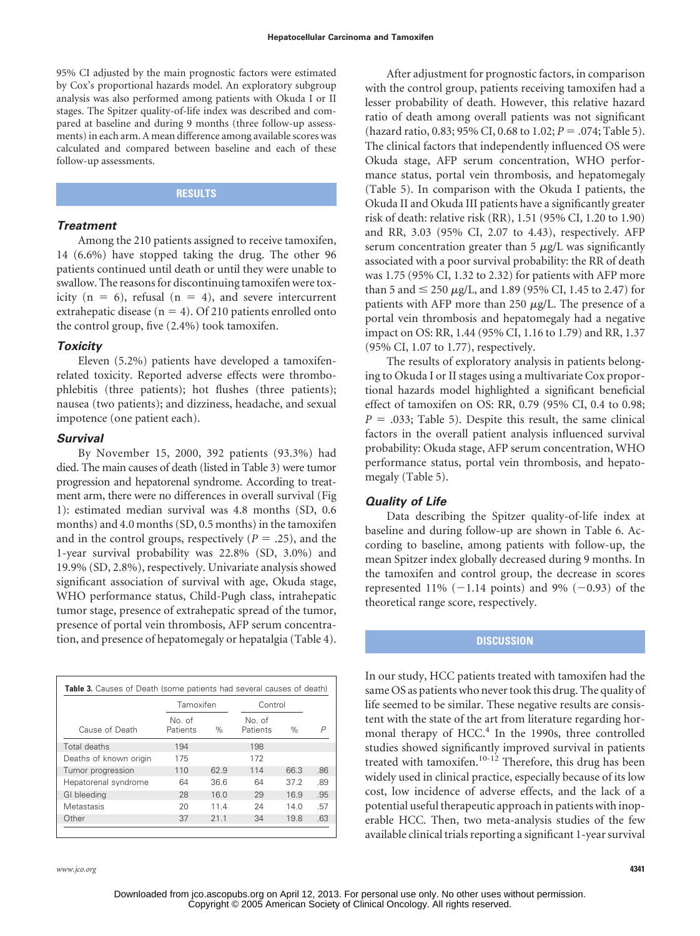95% CI adjusted by the main prognostic factors were estimated by Cox's proportional hazards model. An exploratory subgroup analysis was also performed among patients with Okuda I or II stages. The Spitzer quality-of-life index was described and compared at baseline and during 9 months (three follow-up assessments) in each arm. A mean difference among available scores was calculated and compared between baseline and each of these follow-up assessments.

# **RESULTS**

# *Treatment*

Among the 210 patients assigned to receive tamoxifen, 14 (6.6%) have stopped taking the drug. The other 96 patients continued until death or until they were unable to swallow. The reasons for discontinuing tamoxifen were toxicity ( $n = 6$ ), refusal ( $n = 4$ ), and severe intercurrent extrahepatic disease ( $n = 4$ ). Of 210 patients enrolled onto the control group, five (2.4%) took tamoxifen.

# *Toxicity*

Eleven (5.2%) patients have developed a tamoxifenrelated toxicity. Reported adverse effects were thrombophlebitis (three patients); hot flushes (three patients); nausea (two patients); and dizziness, headache, and sexual impotence (one patient each).

# *Survival*

By November 15, 2000, 392 patients (93.3%) had died. The main causes of death (listed in Table 3) were tumor progression and hepatorenal syndrome. According to treatment arm, there were no differences in overall survival (Fig 1): estimated median survival was 4.8 months (SD, 0.6 months) and 4.0 months (SD, 0.5 months) in the tamoxifen and in the control groups, respectively  $(P = .25)$ , and the 1-year survival probability was 22.8% (SD, 3.0%) and 19.9% (SD, 2.8%), respectively. Univariate analysis showed significant association of survival with age, Okuda stage, WHO performance status, Child-Pugh class, intrahepatic tumor stage, presence of extrahepatic spread of the tumor, presence of portal vein thrombosis, AFP serum concentration, and presence of hepatomegaly or hepatalgia (Table 4).

|                        | Tamoxifen          |      | Control            |      |     |
|------------------------|--------------------|------|--------------------|------|-----|
| Cause of Death         | No. of<br>Patients | $\%$ | No. of<br>Patients | $\%$ | P   |
| Total deaths           | 194                |      | 198                |      |     |
| Deaths of known origin | 175                |      | 172                |      |     |
| Tumor progression      | 110                | 62.9 | 114                | 66.3 | .86 |
| Hepatorenal syndrome   | 64                 | 36.6 | 64                 | 372  | .89 |
| GI bleeding            | 28                 | 16.0 | 29                 | 16.9 | .95 |
| Metastasis             | 20                 | 11.4 | 24                 | 14 N | .57 |
| Other                  | 37                 | 21.1 | 34                 | 19.8 | .63 |

*www.jco.org* **4341**

After adjustment for prognostic factors, in comparison with the control group, patients receiving tamoxifen had a lesser probability of death. However, this relative hazard ratio of death among overall patients was not significant (hazard ratio, 0.83; 95% CI, 0.68 to 1.02; *P* = .074; Table 5). The clinical factors that independently influenced OS were Okuda stage, AFP serum concentration, WHO performance status, portal vein thrombosis, and hepatomegaly (Table 5). In comparison with the Okuda I patients, the Okuda II and Okuda III patients have a significantly greater risk of death: relative risk (RR), 1.51 (95% CI, 1.20 to 1.90) and RR, 3.03 (95% CI, 2.07 to 4.43), respectively. AFP serum concentration greater than  $5 \mu g/L$  was significantly associated with a poor survival probability: the RR of death was 1.75 (95% CI, 1.32 to 2.32) for patients with AFP more than 5 and  $\leq$  250  $\mu$ g/L, and 1.89 (95% CI, 1.45 to 2.47) for patients with AFP more than 250  $\mu$ g/L. The presence of a portal vein thrombosis and hepatomegaly had a negative impact on OS: RR, 1.44 (95% CI, 1.16 to 1.79) and RR, 1.37 (95% CI, 1.07 to 1.77), respectively.

The results of exploratory analysis in patients belonging to Okuda I or II stages using a multivariate Cox proportional hazards model highlighted a significant beneficial effect of tamoxifen on OS: RR, 0.79 (95% CI, 0.4 to 0.98;  $P = .033$ ; Table 5). Despite this result, the same clinical factors in the overall patient analysis influenced survival probability: Okuda stage, AFP serum concentration, WHO performance status, portal vein thrombosis, and hepatomegaly (Table 5).

## *Quality of Life*

Data describing the Spitzer quality-of-life index at baseline and during follow-up are shown in Table 6. According to baseline, among patients with follow-up, the mean Spitzer index globally decreased during 9 months. In the tamoxifen and control group, the decrease in scores represented 11%  $(-1.14 \text{ points})$  and 9%  $(-0.93)$  of the theoretical range score, respectively.

# **DISCUSSION**

In our study, HCC patients treated with tamoxifen had the same OS as patients who never took this drug. The quality of life seemed to be similar. These negative results are consistent with the state of the art from literature regarding hormonal therapy of HCC.<sup>4</sup> In the 1990s, three controlled studies showed significantly improved survival in patients treated with tamoxifen.<sup>10-12</sup> Therefore, this drug has been widely used in clinical practice, especially because of its low cost, low incidence of adverse effects, and the lack of a potential useful therapeutic approach in patients with inoperable HCC. Then, two meta-analysis studies of the few available clinical trials reporting a significant 1-year survival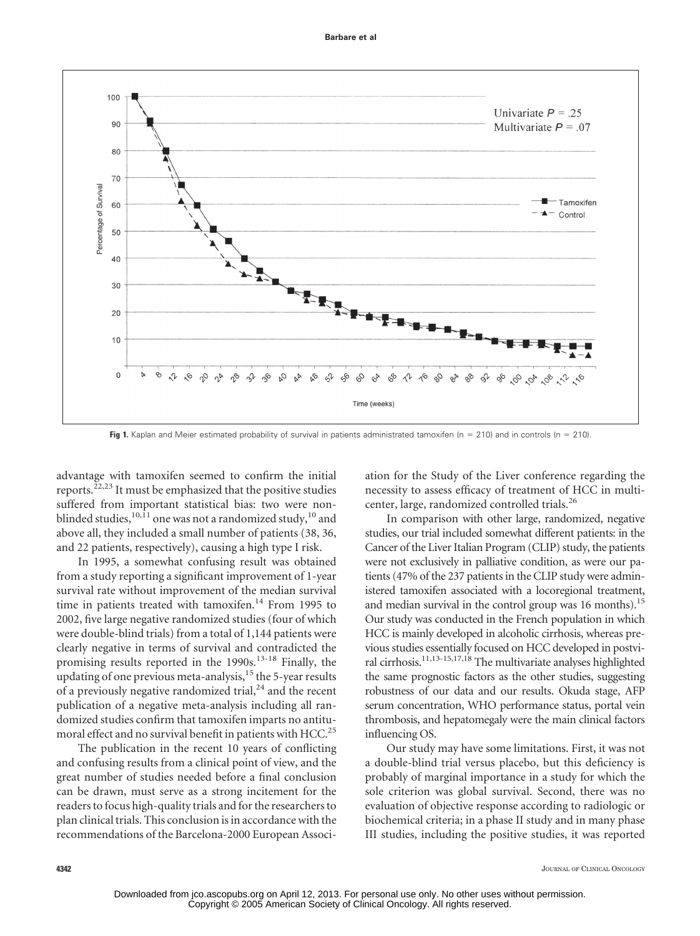

**Fig 1.** Kaplan and Meier estimated probability of survival in patients administrated tamoxifen (n = 210) and in controls (n = 210).

advantage with tamoxifen seemed to confirm the initial reports. $^{22,23}$  It must be emphasized that the positive studies suffered from important statistical bias: two were nonblinded studies,<sup>10,11</sup> one was not a randomized study,<sup>10</sup> and above all, they included a small number of patients (38, 36, and 22 patients, respectively), causing a high type I risk.

In 1995, a somewhat confusing result was obtained from a study reporting a significant improvement of 1-year survival rate without improvement of the median survival time in patients treated with tamoxifen.<sup>14</sup> From 1995 to 2002, five large negative randomized studies (four of which were double-blind trials) from a total of 1,144 patients were clearly negative in terms of survival and contradicted the promising results reported in the 1990s.<sup>13-18</sup> Finally, the updating of one previous meta-analysis, $15$  the 5-year results of a previously negative randomized trial, $^{24}$  and the recent publication of a negative meta-analysis including all randomized studies confirm that tamoxifen imparts no antitumoral effect and no survival benefit in patients with HCC.<sup>25</sup>

The publication in the recent 10 years of conflicting and confusing results from a clinical point of view, and the great number of studies needed before a final conclusion can be drawn, must serve as a strong incitement for the readers to focus high-quality trials and for the researchers to plan clinical trials. This conclusion is in accordance with the recommendations of the Barcelona-2000 European Association for the Study of the Liver conference regarding the necessity to assess efficacy of treatment of HCC in multicenter, large, randomized controlled trials.<sup>26</sup>

In comparison with other large, randomized, negative studies, our trial included somewhat different patients: in the Cancer of the Liver Italian Program (CLIP) study, the patients were not exclusively in palliative condition, as were our patients (47% of the 237 patients in the CLIP study were administered tamoxifen associated with a locoregional treatment, and median survival in the control group was 16 months).<sup>15</sup> Our study was conducted in the French population in which HCC is mainly developed in alcoholic cirrhosis, whereas previous studies essentially focused on HCC developed in postviral cirrhosis.11,13-15,17,18 The multivariate analyses highlighted the same prognostic factors as the other studies, suggesting robustness of our data and our results. Okuda stage, AFP serum concentration, WHO performance status, portal vein thrombosis, and hepatomegaly were the main clinical factors influencing OS.

Our study may have some limitations. First, it was not a double-blind trial versus placebo, but this deficiency is probably of marginal importance in a study for which the sole criterion was global survival. Second, there was no evaluation of objective response according to radiologic or biochemical criteria; in a phase II study and in many phase III studies, including the positive studies, it was reported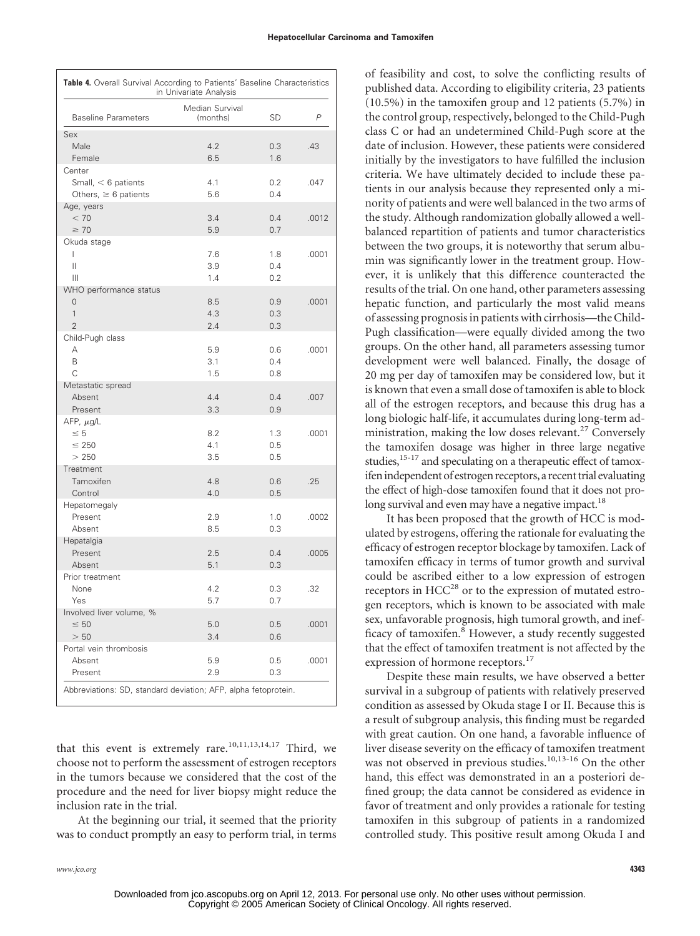| Table 4. Overall Survival According to Patients' Baseline Characteristics<br>in Univariate Analysis |                             |           |       |  |  |  |
|-----------------------------------------------------------------------------------------------------|-----------------------------|-----------|-------|--|--|--|
| <b>Baseline Parameters</b>                                                                          | Median Survival<br>(months) | <b>SD</b> | P     |  |  |  |
| Sex                                                                                                 |                             |           |       |  |  |  |
| Male                                                                                                | 4.2                         | 0.3       | .43   |  |  |  |
| Female                                                                                              | 6.5                         | 1.6       |       |  |  |  |
| Center                                                                                              |                             |           |       |  |  |  |
| Small, $<$ 6 patients                                                                               | 4.1                         | 0.2       | .047  |  |  |  |
| Others, $\geq 6$ patients                                                                           | 5.6                         | 0.4       |       |  |  |  |
| Age, years                                                                                          |                             |           |       |  |  |  |
| < 70                                                                                                | 3.4                         | 0.4       | .0012 |  |  |  |
| $\geq 70$                                                                                           | 5.9                         | 0.7       |       |  |  |  |
| Okuda stage                                                                                         |                             |           |       |  |  |  |
| L                                                                                                   | 7.6                         | 1.8       | .0001 |  |  |  |
| Ш                                                                                                   | 3.9                         | 0.4       |       |  |  |  |
| Ш                                                                                                   | 1.4                         | 0.2       |       |  |  |  |
| WHO performance status                                                                              |                             |           |       |  |  |  |
| 0                                                                                                   | 8.5                         | 0.9       | .0001 |  |  |  |
| 1                                                                                                   | 4.3                         | 0.3       |       |  |  |  |
| $\overline{2}$                                                                                      | 2.4                         | 0.3       |       |  |  |  |
| Child-Pugh class                                                                                    |                             |           |       |  |  |  |
| А                                                                                                   | 5.9                         | 0.6       | .0001 |  |  |  |
| B                                                                                                   | 3.1                         | 0.4       |       |  |  |  |
| C                                                                                                   | 1.5                         | 0.8       |       |  |  |  |
| Metastatic spread                                                                                   |                             |           |       |  |  |  |
| Absent                                                                                              | 4.4                         | 0.4       | .007  |  |  |  |
| Present                                                                                             | 3.3                         | 0.9       |       |  |  |  |
| AFP, $\mu$ g/L                                                                                      |                             |           |       |  |  |  |
| $\leq 5$                                                                                            | 8.2                         | 1.3       | .0001 |  |  |  |
| $\leq 250$                                                                                          | 4.1                         | 0.5       |       |  |  |  |
| > 250                                                                                               | 3.5                         | 0.5       |       |  |  |  |
| Treatment                                                                                           |                             |           |       |  |  |  |
| Tamoxifen                                                                                           | 4.8                         | 0.6       | .25   |  |  |  |
| Control                                                                                             | 4.0                         | 0.5       |       |  |  |  |
| Hepatomegaly                                                                                        |                             |           |       |  |  |  |
| Present                                                                                             | 2.9                         | 1.0       | .0002 |  |  |  |
| Absent                                                                                              | 8.5                         | 0.3       |       |  |  |  |
| Hepatalgia                                                                                          |                             |           |       |  |  |  |
| Present                                                                                             | 2.5                         | 0.4       | .0005 |  |  |  |
| Absent                                                                                              | 5.1                         | 0.3       |       |  |  |  |
| Prior treatment                                                                                     |                             |           |       |  |  |  |
| None                                                                                                | 4.2                         | 0.3       | .32   |  |  |  |
| Yes                                                                                                 | 5.7                         | 0.7       |       |  |  |  |
| Involved liver volume, %                                                                            |                             |           |       |  |  |  |
| $\leq 50$                                                                                           | 5.0                         | 0.5       | .0001 |  |  |  |
| > 50                                                                                                | 3.4                         | 0.6       |       |  |  |  |
| Portal vein thrombosis                                                                              |                             |           |       |  |  |  |
| Absent                                                                                              | 5.9                         | 0.5       | .0001 |  |  |  |
| Present                                                                                             | 2.9                         | 0.3       |       |  |  |  |
|                                                                                                     |                             |           |       |  |  |  |

that this event is extremely rare.<sup>10,11,13,14,17</sup> Third, we choose not to perform the assessment of estrogen receptors in the tumors because we considered that the cost of the procedure and the need for liver biopsy might reduce the inclusion rate in the trial.

At the beginning our trial, it seemed that the priority was to conduct promptly an easy to perform trial, in terms of feasibility and cost, to solve the conflicting results of published data. According to eligibility criteria, 23 patients (10.5%) in the tamoxifen group and 12 patients (5.7%) in the control group, respectively, belonged to the Child-Pugh class C or had an undetermined Child-Pugh score at the date of inclusion. However, these patients were considered initially by the investigators to have fulfilled the inclusion criteria. We have ultimately decided to include these patients in our analysis because they represented only a minority of patients and were well balanced in the two arms of the study. Although randomization globally allowed a wellbalanced repartition of patients and tumor characteristics between the two groups, it is noteworthy that serum albumin was significantly lower in the treatment group. However, it is unlikely that this difference counteracted the results of the trial. On one hand, other parameters assessing hepatic function, and particularly the most valid means of assessing prognosis in patients with cirrhosis—the Child-Pugh classification—were equally divided among the two groups. On the other hand, all parameters assessing tumor development were well balanced. Finally, the dosage of 20 mg per day of tamoxifen may be considered low, but it is known that even a small dose of tamoxifen is able to block all of the estrogen receptors, and because this drug has a long biologic half-life, it accumulates during long-term administration, making the low doses relevant. $27$  Conversely the tamoxifen dosage was higher in three large negative studies,<sup>15-17</sup> and speculating on a therapeutic effect of tamoxifen independent of estrogen receptors, a recent trial evaluating the effect of high-dose tamoxifen found that it does not prolong survival and even may have a negative impact.<sup>18</sup>

It has been proposed that the growth of HCC is modulated by estrogens, offering the rationale for evaluating the efficacy of estrogen receptor blockage by tamoxifen. Lack of tamoxifen efficacy in terms of tumor growth and survival could be ascribed either to a low expression of estrogen receptors in HCC<sup>28</sup> or to the expression of mutated estrogen receptors, which is known to be associated with male sex, unfavorable prognosis, high tumoral growth, and inefficacy of tamoxifen.<sup>8</sup> However, a study recently suggested that the effect of tamoxifen treatment is not affected by the expression of hormone receptors.<sup>17</sup>

Despite these main results, we have observed a better survival in a subgroup of patients with relatively preserved condition as assessed by Okuda stage I or II. Because this is a result of subgroup analysis, this finding must be regarded with great caution. On one hand, a favorable influence of liver disease severity on the efficacy of tamoxifen treatment was not observed in previous studies.<sup>10,13-16</sup> On the other hand, this effect was demonstrated in an a posteriori defined group; the data cannot be considered as evidence in favor of treatment and only provides a rationale for testing tamoxifen in this subgroup of patients in a randomized controlled study. This positive result among Okuda I and

*www.jco.org* **4343**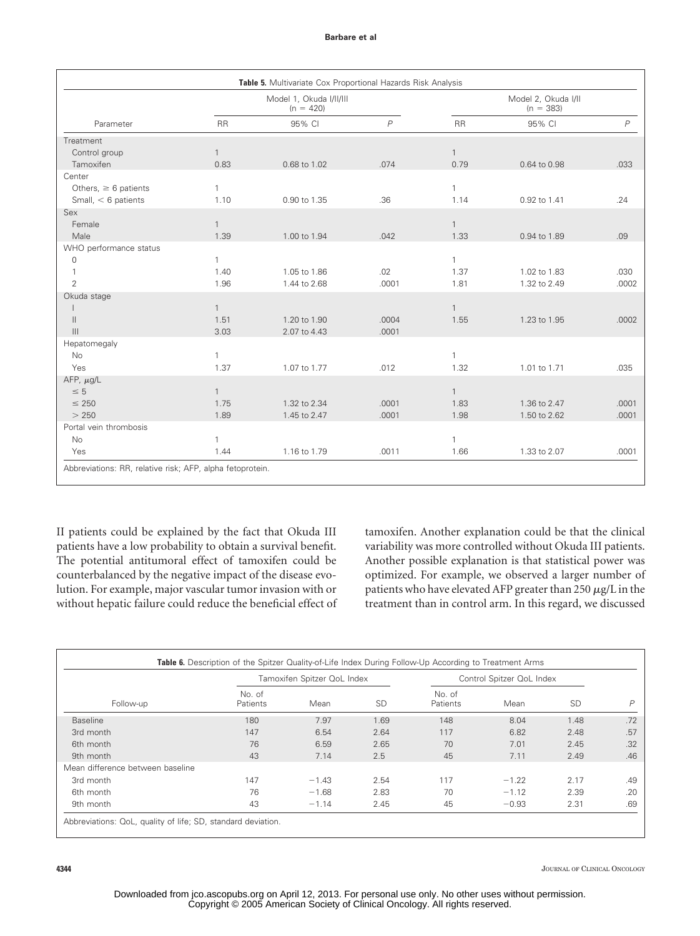#### **Barbare et al**

| Parameter                 |              | Model 1, Okuda I/II/III<br>$(n = 420)$ |                |              | Model 2, Okuda I/II<br>$(n = 383)$ |       |  |  |
|---------------------------|--------------|----------------------------------------|----------------|--------------|------------------------------------|-------|--|--|
|                           | <b>RR</b>    | 95% CI                                 | $\overline{P}$ | <b>RR</b>    | 95% CI                             | P     |  |  |
| Treatment                 |              |                                        |                |              |                                    |       |  |  |
| Control group             | $\mathbf{1}$ |                                        |                | $\mathbf{1}$ |                                    |       |  |  |
| Tamoxifen                 | 0.83         | 0.68 to 1.02                           | .074           | 0.79         | 0.64 to 0.98                       | .033  |  |  |
| Center                    |              |                                        |                |              |                                    |       |  |  |
| Others, $\geq 6$ patients | $\mathbf{1}$ |                                        |                | $\mathbf{1}$ |                                    |       |  |  |
| Small, $<$ 6 patients     | 1.10         | 0.90 to 1.35                           | .36            | 1.14         | 0.92 to 1.41                       | .24   |  |  |
| Sex                       |              |                                        |                |              |                                    |       |  |  |
| Female                    | $\mathbf{1}$ |                                        |                | $\mathbf{1}$ |                                    |       |  |  |
| Male                      | 1.39         | 1.00 to 1.94                           | .042           | 1.33         | 0.94 to 1.89                       | .09   |  |  |
| WHO performance status    |              |                                        |                |              |                                    |       |  |  |
| $\mathbf 0$               | $\mathbf{1}$ |                                        |                | $\mathbf{1}$ |                                    |       |  |  |
| $\mathbf{1}$              | 1.40         | 1.05 to 1.86                           | .02            | 1.37         | 1.02 to 1.83                       | .030  |  |  |
| $\overline{2}$            | 1.96         | 1.44 to 2.68                           | .0001          | 1.81         | 1.32 to 2.49                       | .0002 |  |  |
| Okuda stage               |              |                                        |                |              |                                    |       |  |  |
|                           | $\mathbf{1}$ |                                        |                | $\mathbf{1}$ |                                    |       |  |  |
| $\mathbf{H}$              | 1.51         | 1.20 to 1.90                           | .0004          | 1.55         | 1.23 to 1.95                       | .0002 |  |  |
| $\mathbf{III}$            | 3.03         | 2.07 to 4.43                           | .0001          |              |                                    |       |  |  |
| Hepatomegaly              |              |                                        |                |              |                                    |       |  |  |
| <b>No</b>                 | $\mathbf{1}$ |                                        |                | $\mathbf{1}$ |                                    |       |  |  |
| Yes                       | 1.37         | 1.07 to 1.77                           | .012           | 1.32         | 1.01 to 1.71                       | .035  |  |  |
| AFP, $\mu$ g/L            |              |                                        |                |              |                                    |       |  |  |
| $\leq 5$                  | $\mathbf{1}$ |                                        |                | $\mathbf{1}$ |                                    |       |  |  |
| $\leq 250$                | 1.75         | 1.32 to 2.34                           | .0001          | 1.83         | 1.36 to 2.47                       | .0001 |  |  |
| > 250                     | 1.89         | 1.45 to 2.47                           | .0001          | 1.98         | 1.50 to 2.62                       | .0001 |  |  |
| Portal vein thrombosis    |              |                                        |                |              |                                    |       |  |  |
| <b>No</b>                 | $\mathbf{1}$ |                                        |                | $\mathbf{1}$ |                                    |       |  |  |
| Yes                       | 1.44         | 1.16 to 1.79                           | .0011          | 1.66         | 1.33 to 2.07                       | .0001 |  |  |

II patients could be explained by the fact that Okuda III patients have a low probability to obtain a survival benefit. The potential antitumoral effect of tamoxifen could be counterbalanced by the negative impact of the disease evolution. For example, major vascular tumor invasion with or without hepatic failure could reduce the beneficial effect of tamoxifen. Another explanation could be that the clinical variability was more controlled without Okuda III patients. Another possible explanation is that statistical power was optimized. For example, we observed a larger number of patients who have elevated AFP greater than  $250 \mu g/L$  in the treatment than in control arm. In this regard, we discussed

| Follow-up                        | Tamoxifen Spitzer QoL Index |         |           | Control Spitzer QoL Index |         |           |                |
|----------------------------------|-----------------------------|---------|-----------|---------------------------|---------|-----------|----------------|
|                                  | No. of<br>Patients          | Mean    | <b>SD</b> | No. of<br>Patients        | Mean    | <b>SD</b> | $\overline{D}$ |
| <b>Baseline</b>                  | 180                         | 7.97    | 1.69      | 148                       | 8.04    | 1.48      | .72            |
| 3rd month                        | 147                         | 6.54    | 2.64      | 117                       | 6.82    | 2.48      | .57            |
| 6th month                        | 76                          | 6.59    | 2.65      | 70                        | 7.01    | 2.45      | .32            |
| 9th month                        | 43                          | 7.14    | 2.5       | 45                        | 7.11    | 2.49      | .46            |
| Mean difference between baseline |                             |         |           |                           |         |           |                |
| 3rd month                        | 147                         | $-1.43$ | 2.54      | 117                       | $-1.22$ | 2.17      | .49            |
| 6th month                        | 76                          | $-1.68$ | 2.83      | 70                        | $-1.12$ | 2.39      | .20            |
| 9th month                        | 43                          | $-1.14$ | 2.45      | 45                        | $-0.93$ | 2.31      | .69            |

**4344** JOURNAL OF CLINICAL ONCOLOGY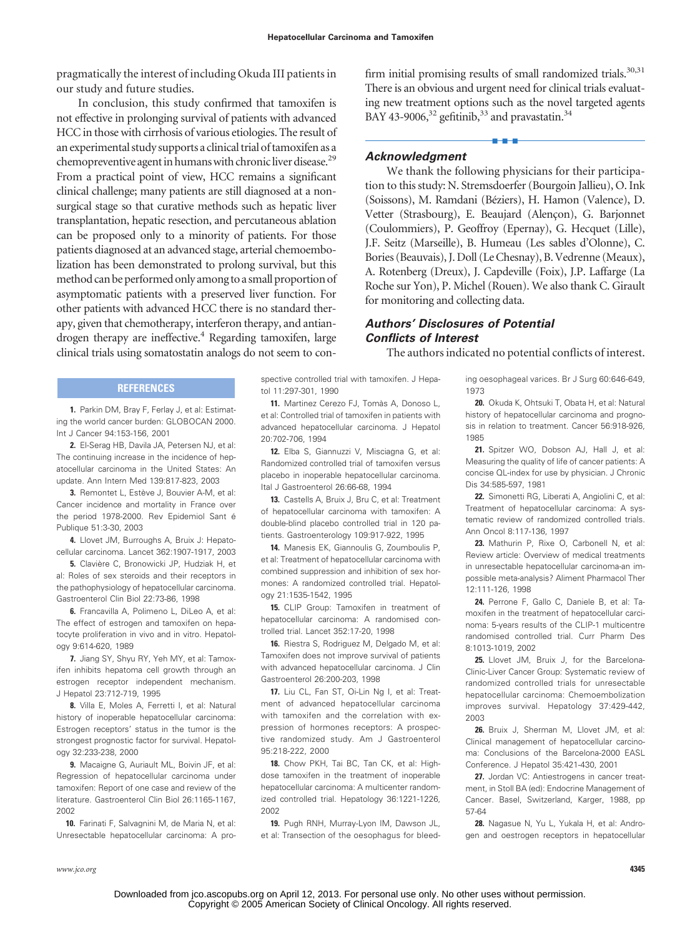pragmatically the interest of including Okuda III patients in our study and future studies.

In conclusion, this study confirmed that tamoxifen is not effective in prolonging survival of patients with advanced HCC in those with cirrhosis of various etiologies. The result of an experimental study supports a clinical trial of tamoxifen as a chemopreventive agent in humans with chronic liver disease.<sup>29</sup> From a practical point of view, HCC remains a significant clinical challenge; many patients are still diagnosed at a nonsurgical stage so that curative methods such as hepatic liver transplantation, hepatic resection, and percutaneous ablation can be proposed only to a minority of patients. For those patients diagnosed at an advanced stage, arterial chemoembolization has been demonstrated to prolong survival, but this method can be performed only among to a small proportion of asymptomatic patients with a preserved liver function. For other patients with advanced HCC there is no standard therapy, given that chemotherapy, interferon therapy, and antiandrogen therapy are ineffective.<sup>4</sup> Regarding tamoxifen, large clinical trials using somatostatin analogs do not seem to con-

#### **REFERENCES**

**1.** Parkin DM, Bray F, Ferlay J, et al: Estimating the world cancer burden: GLOBOCAN 2000. Int J Cancer 94:153-156, 2001

**2.** El-Serag HB, Davila JA, Petersen NJ, et al: The continuing increase in the incidence of hepatocellular carcinoma in the United States: An update. Ann Intern Med 139:817-823, 2003

**3.** Remontet L, Estève J, Bouvier A-M, et al: Cancer incidence and mortality in France over the period 1978-2000. Rev Epidemiol Sant é Publique 51:3-30, 2003

**4.** Llovet JM, Burroughs A, Bruix J: Hepatocellular carcinoma. Lancet 362:1907-1917, 2003

**5.** Clavière C, Bronowicki JP, Hudziak H, et al: Roles of sex steroids and their receptors in the pathophysiology of hepatocellular carcinoma. Gastroenterol Clin Biol 22:73-86, 1998

**6.** Francavilla A, Polimeno L, DiLeo A, et al: The effect of estrogen and tamoxifen on hepatocyte proliferation in vivo and in vitro. Hepatology 9:614-620, 1989

**7.** Jiang SY, Shyu RY, Yeh MY, et al: Tamoxifen inhibits hepatoma cell growth through an estrogen receptor independent mechanism. J Hepatol 23:712-719, 1995

**8.** Villa E, Moles A, Ferretti I, et al: Natural history of inoperable hepatocellular carcinoma: Estrogen receptors' status in the tumor is the strongest prognostic factor for survival. Hepatology 32:233-238, 2000

**9.** Macaigne G, Auriault ML, Boivin JF, et al: Regression of hepatocellular carcinoma under tamoxifen: Report of one case and review of the literature. Gastroenterol Clin Biol 26:1165-1167, 2002

**10.** Farinati F, Salvagnini M, de Maria N, et al: Unresectable hepatocellular carcinoma: A pro-

firm initial promising results of small randomized trials.<sup>30,31</sup> There is an obvious and urgent need for clinical trials evaluating new treatment options such as the novel targeted agents BAY 43-9006,<sup>32</sup> gefitinib,<sup>33</sup> and pravastatin.<sup>34</sup>

■■■

# *Acknowledgment*

We thank the following physicians for their participation to this study: N. Stremsdoerfer (Bourgoin Jallieu), O. Ink (Soissons), M. Ramdani (Béziers), H. Hamon (Valence), D. Vetter (Strasbourg), E. Beaujard (Alençon), G. Barjonnet (Coulommiers), P. Geoffroy (Epernay), G. Hecquet (Lille), J.F. Seitz (Marseille), B. Humeau (Les sables d'Olonne), C. Bories (Beauvais), J. Doll (Le Chesnay), B. Vedrenne (Meaux), A. Rotenberg (Dreux), J. Capdeville (Foix), J.P. Laffarge (La Roche sur Yon), P. Michel (Rouen). We also thank C. Girault for monitoring and collecting data.

# *Authors' Disclosures of Potential Conflicts of Interest*

The authors indicated no potential conflicts of interest.

spective controlled trial with tamoxifen. J Hepatol 11:297-301, 1990

11. Martinez Cerezo FJ, Tomàs A, Donoso L, et al: Controlled trial of tamoxifen in patients with advanced hepatocellular carcinoma. J Hepatol 20:702-706, 1994

**12.** Elba S, Giannuzzi V, Misciagna G, et al: Randomized controlled trial of tamoxifen versus placebo in inoperable hepatocellular carcinoma. Ital J Gastroenterol 26:66-68, 1994

**13.** Castells A, Bruix J, Bru C, et al: Treatment of hepatocellular carcinoma with tamoxifen: A double-blind placebo controlled trial in 120 patients. Gastroenterology 109:917-922, 1995

**14.** Manesis EK, Giannoulis G, Zoumboulis P, et al: Treatment of hepatocellular carcinoma with combined suppression and inhibition of sex hormones: A randomized controlled trial. Hepatology 21:1535-1542, 1995

**15.** CLIP Group: Tamoxifen in treatment of hepatocellular carcinoma: A randomised controlled trial. Lancet 352:17-20, 1998

**16.** Riestra S, Rodriguez M, Delgado M, et al: Tamoxifen does not improve survival of patients with advanced hepatocellular carcinoma. J Clin Gastroenterol 26:200-203, 1998

**17.** Liu CL, Fan ST, Oi-Lin Ng I, et al: Treatment of advanced hepatocellular carcinoma with tamoxifen and the correlation with expression of hormones receptors: A prospective randomized study. Am J Gastroenterol 95:218-222, 2000

**18.** Chow PKH, Tai BC, Tan CK, et al: Highdose tamoxifen in the treatment of inoperable hepatocellular carcinoma: A multicenter randomized controlled trial. Hepatology 36:1221-1226, 2002

**19.** Pugh RNH, Murray-Lyon IM, Dawson JL, et al: Transection of the oesophagus for bleeding oesophageal varices. Br J Surg 60:646-649, 1973

**20.** Okuda K, Ohtsuki T, Obata H, et al: Natural history of hepatocellular carcinoma and prognosis in relation to treatment. Cancer 56:918-926, 1985

**21.** Spitzer WO, Dobson AJ, Hall J, et al: Measuring the quality of life of cancer patients: A concise QL-index for use by physician. J Chronic Dis 34:585-597, 1981

**22.** Simonetti RG, Liberati A, Angiolini C, et al: Treatment of hepatocellular carcinoma: A systematic review of randomized controlled trials. Ann Oncol 8:117-136, 1997

**23.** Mathurin P, Rixe O, Carbonell N, et al: Review article: Overview of medical treatments in unresectable hepatocellular carcinoma-an impossible meta-analysis? Aliment Pharmacol Ther 12:111-126, 1998

**24.** Perrone F, Gallo C, Daniele B, et al: Tamoxifen in the treatment of hepatocellular carcinoma: 5-years results of the CLIP-1 multicentre randomised controlled trial. Curr Pharm Des 8:1013-1019, 2002

**25.** Llovet JM, Bruix J, for the Barcelona-Clinic-Liver Cancer Group: Systematic review of randomized controlled trials for unresectable hepatocellular carcinoma: Chemoembolization improves survival. Hepatology 37:429-442, 2003

**26.** Bruix J, Sherman M, Llovet JM, et al: Clinical management of hepatocellular carcinoma: Conclusions of the Barcelona-2000 EASL Conference. J Hepatol 35:421-430, 2001

**27.** Jordan VC: Antiestrogens in cancer treatment, in Stoll BA (ed): Endocrine Management of Cancer. Basel, Switzerland, Karger, 1988, pp 57-64

**28.** Nagasue N, Yu L, Yukala H, et al: Androgen and oestrogen receptors in hepatocellular